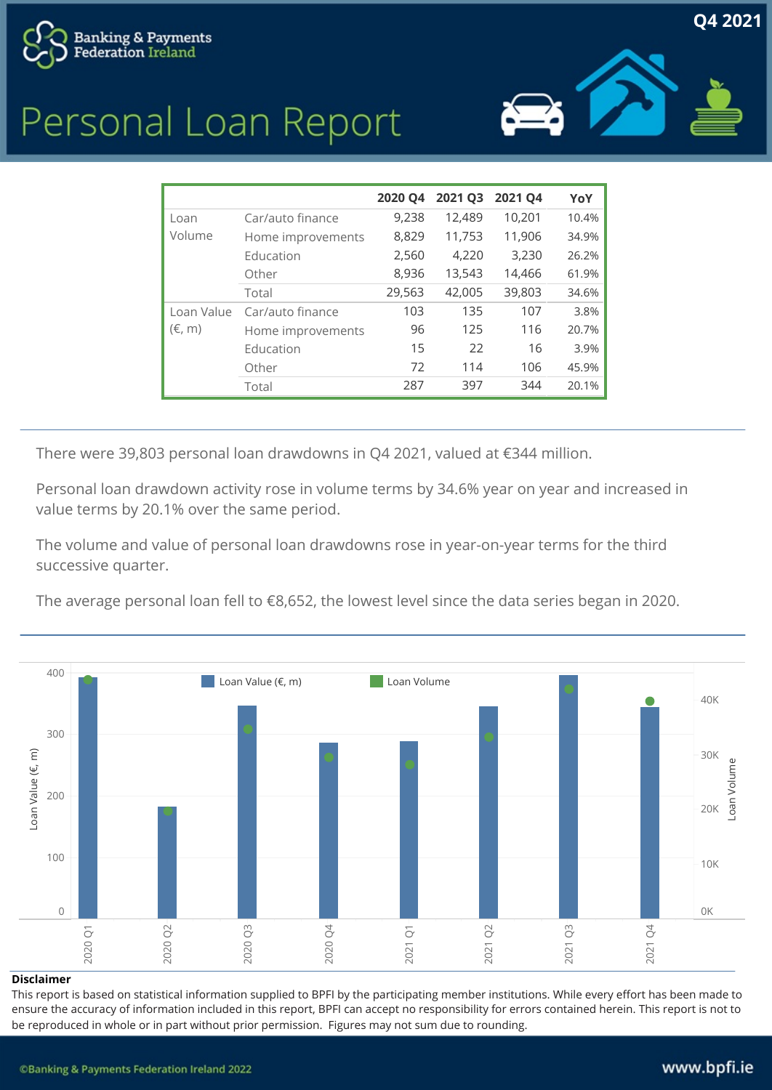





|                               |                   | 2020 Q4 | 2021 Q3 2021 Q4 |        | YoY   |
|-------------------------------|-------------------|---------|-----------------|--------|-------|
| Loan<br>Volume                | Car/auto finance  | 9,238   | 12,489          | 10,201 | 10.4% |
|                               | Home improvements | 8,829   | 11,753          | 11,906 | 34.9% |
|                               | Education         | 2,560   | 4,220           | 3,230  | 26.2% |
|                               | Other             | 8,936   | 13,543          | 14,466 | 61.9% |
|                               | Total             | 29,563  | 42,005          | 39,803 | 34.6% |
| Loan Value<br>$(\epsilon, m)$ | Car/auto finance  | 103     | 135             | 107    | 3.8%  |
|                               | Home improvements | 96      | 125             | 116    | 20.7% |
|                               | Education         | 15      | 22              | 16     | 3.9%  |
|                               | Other             | 72      | 114             | 106    | 45.9% |
|                               | Total             | 287     | 397             | 344    | 20.1% |

There were 39,803 personal loan drawdowns in Q4 2021, valued at €344 million.

Personal loan drawdown activity rose in volume terms by 34.6% year on year and increased in value terms by 20.1% over the same period.

The volume and value of personal loan drawdowns rose in year-on-year terms for the third successive quarter.

The average personal loan fell to €8,652, the lowest level since the data series began in 2020.



#### Disclaimer

This report is based on statistical information supplied to BPFI by the participating member institutions. While every effort has been made to ensure the accuracy of information included in this report, BPFI can accept no responsibility for errors contained herein. This report is not to be reproduced in whole or in part without prior permission. Figures may not sum due to rounding.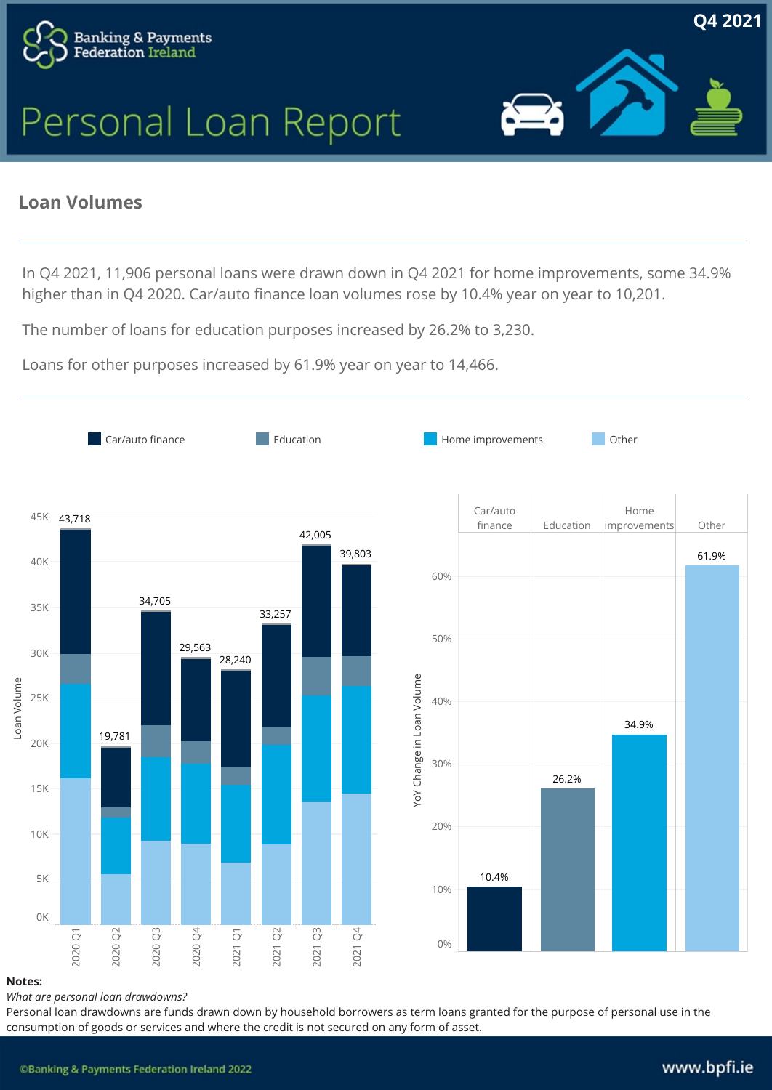



Q42021

### **Loan Volumes**

In Q4 2021, 11,906 personal loans were drawn down in Q4 2021 for home improvements, some 34.9% higher than in Q4 2020. Car/auto finance loan volumes rose by 10.4% year on year to 10,201.

The number of loans for education purposes increased by 26.2% to 3,230.

Loans for other purposes increased by 61.9% year on year to 14,466.



### Notes:

What are personal loan drawdowns?

Personal loan drawdowns are funds drawn down by household borrowers as term loans granted for the purpose of personal use in the consumption of goods or services and where the credit is not secured on any form of asset.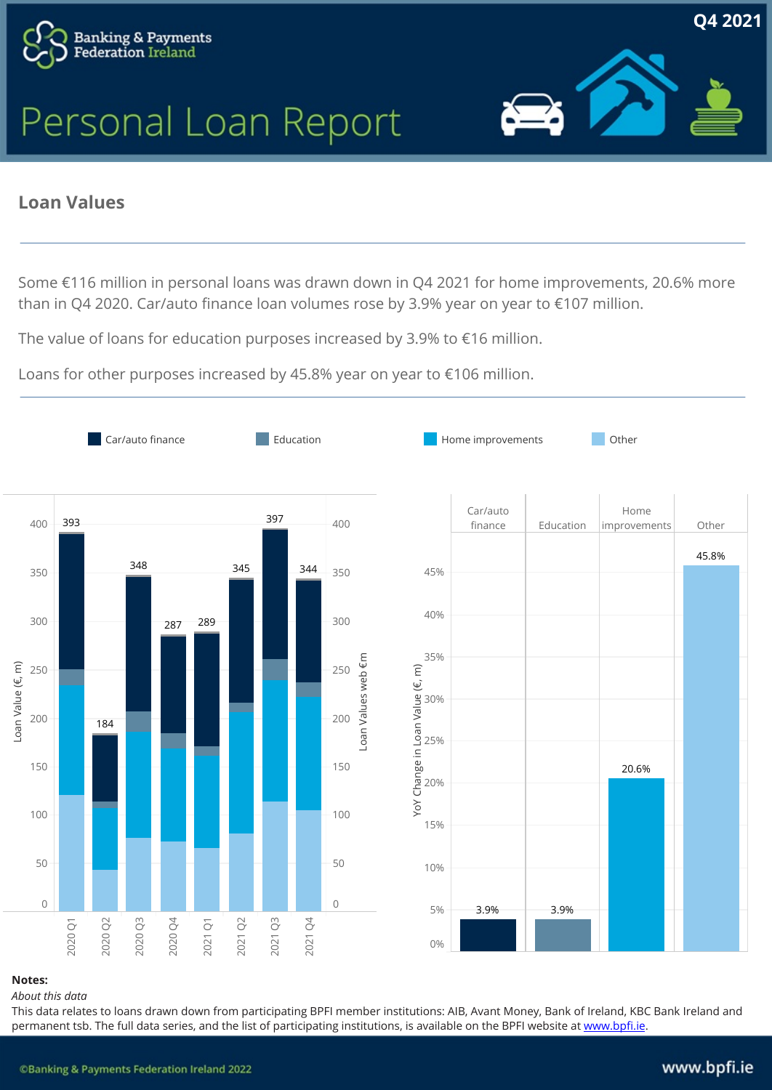



Q42021

### **Loan Values**

Some €116 million in personal loans was drawn down in Q4 2021 for home improvements, 20.6% more than in Q4 2020. Car/auto finance loan volumes rose by 3.9% year on year to €107 million.

The value of loans for education purposes increased by 3.9% to €16 million.

Loans for other purposes increased by 45.8% year on year to €106 million.



### Notes:

### About this data

This data relates to loans drawn down from participating BPFI member institutions: AIB, Avant Money, Bank of Ireland, KBC Bank Ireland and permanent tsb. The full data series, and the list of participating institutions, is available on the BPFI website at www.bpfi.ie.